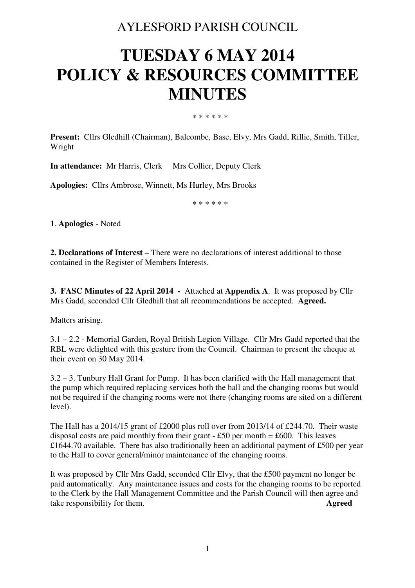# AYLESFORD PARISH COUNCIL

# **TUESDAY 6 MAY 2014 POLICY & RESOURCES COMMITTEE MINUTES**

\* \* \* \* \* \*

**Present:** Cllrs Gledhill (Chairman), Balcombe, Base, Elvy, Mrs Gadd, Rillie, Smith, Tiller, Wright

**In attendance:** Mr Harris, Clerk Mrs Collier, Deputy Clerk

**Apologies:** Cllrs Ambrose, Winnett, Ms Hurley, Mrs Brooks

\* \* \* \* \* \*

**1**. **Apologies** - Noted

**2. Declarations of Interest** – There were no declarations of interest additional to those contained in the Register of Members Interests.

**3. FASC Minutes of 22 April 2014 -** Attached at **Appendix A**. It was proposed by Cllr Mrs Gadd, seconded Cllr Gledhill that all recommendations be accepted. **Agreed.** 

Matters arising.

3.1 – 2.2 - Memorial Garden, Royal British Legion Village. Cllr Mrs Gadd reported that the RBL were delighted with this gesture from the Council. Chairman to present the cheque at their event on 30 May 2014.

3.2 – 3. Tunbury Hall Grant for Pump. It has been clarified with the Hall management that the pump which required replacing services both the hall and the changing rooms but would not be required if the changing rooms were not there (changing rooms are sited on a different level).

The Hall has a 2014/15 grant of £2000 plus roll over from 2013/14 of £244.70. Their waste disposal costs are paid monthly from their grant  $-$  £50 per month = £600. This leaves £1644.70 available. There has also traditionally been an additional payment of £500 per year to the Hall to cover general/minor maintenance of the changing rooms.

It was proposed by Cllr Mrs Gadd, seconded Cllr Elvy, that the £500 payment no longer be paid automatically. Any maintenance issues and costs for the changing rooms to be reported to the Clerk by the Hall Management Committee and the Parish Council will then agree and take responsibility for them. **Agreed**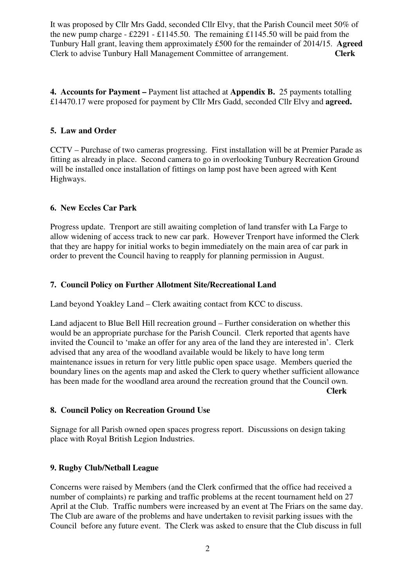It was proposed by Cllr Mrs Gadd, seconded Cllr Elvy, that the Parish Council meet 50% of the new pump charge - £2291 - £1145.50. The remaining £1145.50 will be paid from the Tunbury Hall grant, leaving them approximately £500 for the remainder of 2014/15. **Agreed**  Clerk to advise Tunbury Hall Management Committee of arrangement. **Clerk** 

**4. Accounts for Payment –** Payment list attached at **Appendix B.** 25 payments totalling £14470.17 were proposed for payment by Cllr Mrs Gadd, seconded Cllr Elvy and **agreed.** 

#### **5. Law and Order**

CCTV – Purchase of two cameras progressing. First installation will be at Premier Parade as fitting as already in place. Second camera to go in overlooking Tunbury Recreation Ground will be installed once installation of fittings on lamp post have been agreed with Kent Highways.

#### **6. New Eccles Car Park**

Progress update. Trenport are still awaiting completion of land transfer with La Farge to allow widening of access track to new car park. However Trenport have informed the Clerk that they are happy for initial works to begin immediately on the main area of car park in order to prevent the Council having to reapply for planning permission in August.

#### **7. Council Policy on Further Allotment Site/Recreational Land**

Land beyond Yoakley Land – Clerk awaiting contact from KCC to discuss.

Land adjacent to Blue Bell Hill recreation ground – Further consideration on whether this would be an appropriate purchase for the Parish Council. Clerk reported that agents have invited the Council to 'make an offer for any area of the land they are interested in'. Clerk advised that any area of the woodland available would be likely to have long term maintenance issues in return for very little public open space usage. Members queried the boundary lines on the agents map and asked the Clerk to query whether sufficient allowance has been made for the woodland area around the recreation ground that the Council own.  **Clerk** 

**8. Council Policy on Recreation Ground Use** 

Signage for all Parish owned open spaces progress report. Discussions on design taking place with Royal British Legion Industries.

#### **9. Rugby Club/Netball League**

Concerns were raised by Members (and the Clerk confirmed that the office had received a number of complaints) re parking and traffic problems at the recent tournament held on 27 April at the Club. Traffic numbers were increased by an event at The Friars on the same day. The Club are aware of the problems and have undertaken to revisit parking issues with the Council before any future event. The Clerk was asked to ensure that the Club discuss in full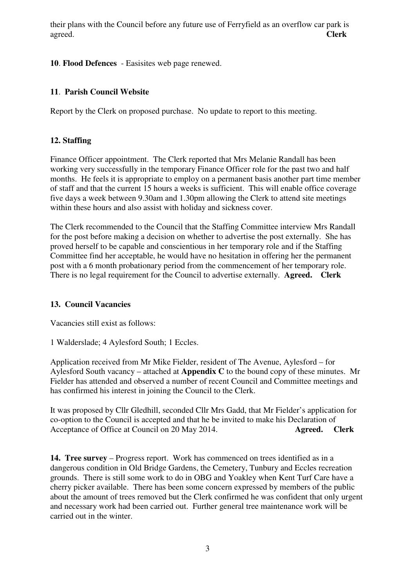their plans with the Council before any future use of Ferryfield as an overflow car park is agreed. **Clerk** 

#### **10**. **Flood Defences** - Easisites web page renewed.

#### **11**. **Parish Council Website**

Report by the Clerk on proposed purchase. No update to report to this meeting.

# **12. Staffing**

Finance Officer appointment. The Clerk reported that Mrs Melanie Randall has been working very successfully in the temporary Finance Officer role for the past two and half months. He feels it is appropriate to employ on a permanent basis another part time member of staff and that the current 15 hours a weeks is sufficient. This will enable office coverage five days a week between 9.30am and 1.30pm allowing the Clerk to attend site meetings within these hours and also assist with holiday and sickness cover.

The Clerk recommended to the Council that the Staffing Committee interview Mrs Randall for the post before making a decision on whether to advertise the post externally. She has proved herself to be capable and conscientious in her temporary role and if the Staffing Committee find her acceptable, he would have no hesitation in offering her the permanent post with a 6 month probationary period from the commencement of her temporary role. There is no legal requirement for the Council to advertise externally. **Agreed. Clerk** 

#### **13. Council Vacancies**

Vacancies still exist as follows:

1 Walderslade; 4 Aylesford South; 1 Eccles.

Application received from Mr Mike Fielder, resident of The Avenue, Aylesford – for Aylesford South vacancy – attached at **Appendix C** to the bound copy of these minutes. Mr Fielder has attended and observed a number of recent Council and Committee meetings and has confirmed his interest in joining the Council to the Clerk.

It was proposed by Cllr Gledhill, seconded Cllr Mrs Gadd, that Mr Fielder's application for co-option to the Council is accepted and that he be invited to make his Declaration of Acceptance of Office at Council on 20 May 2014. **Agreed.** Clerk

**14. Tree survey** – Progress report. Work has commenced on trees identified as in a dangerous condition in Old Bridge Gardens, the Cemetery, Tunbury and Eccles recreation grounds. There is still some work to do in OBG and Yoakley when Kent Turf Care have a cherry picker available. There has been some concern expressed by members of the public about the amount of trees removed but the Clerk confirmed he was confident that only urgent and necessary work had been carried out. Further general tree maintenance work will be carried out in the winter.